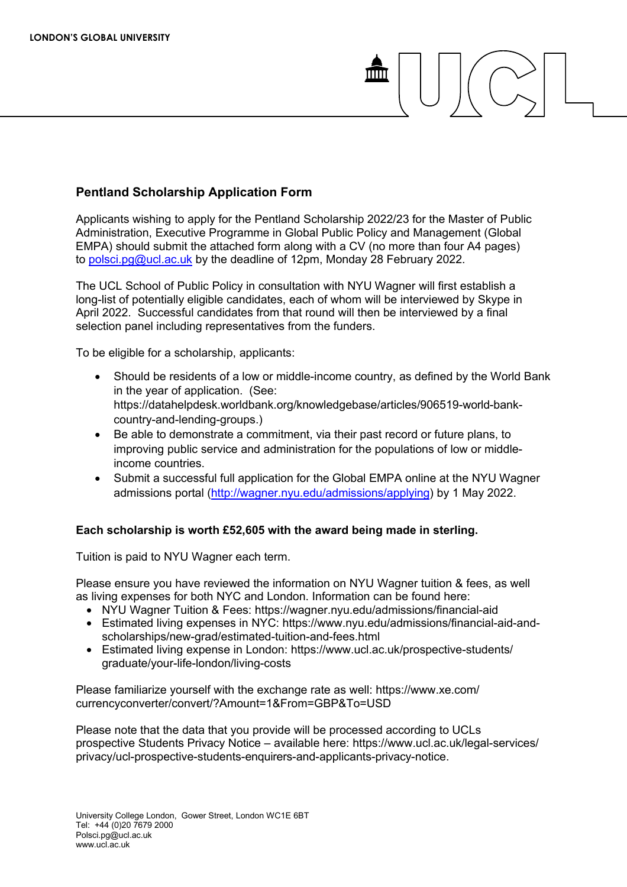## **Pentland Scholarship Application Form**

Applicants wishing to apply for the Pentland Scholarship 2022/23 for the Master of Public Administration, Executive Programme in Global Public Policy and Management (Global EMPA) should submit the attached form along with a CV (no more than four A4 pages) t[o polsci.pg@ucl.ac.uk](mailto:polsci.pg@ucl.ac.uk) by the deadline of 12pm, Monday 28 February 2022.

The UCL School of Public Policy in consultation with NYU Wagner will first establish a long-list of potentially eligible candidates, each of whom will be interviewed by Skype in April 2022. Successful candidates from that round will then be interviewed by a final selection panel including representatives from the funders.

To be eligible for a scholarship, applicants:

- Should be residents of a low or middle-income country, as defined by the World Bank in the year of application. (See: https://datahelpdesk.worldbank.org/knowledgebase/articles/906519-world-bankcountry-and-lending-groups.)
- Be able to demonstrate a commitment, via their past record or future plans, to improving public service and administration for the populations of low or middleincome countries.
- Submit a successful full application for the Global EMPA online at the NYU Wagner admissions portal [\(http://wagner.nyu.edu/admissions/applying\)](http://wagner.nyu.edu/admissions/applying) by 1 May 2022.

## **Each scholarship is worth £52,605 with the award being made in sterling.**

Tuition is paid to NYU Wagner each term.

Please ensure you have reviewed the information on NYU Wagner tuition & fees, as well as living expenses for both NYC and London. Information can be found here:

- NYU Wagner Tuition & Fees: https://wagner.nyu.edu/admissions/financial-aid
- Estimated living expenses in NYC: https://www.nyu.edu/admissions/financial-aid-andscholarships/new-grad/estimated-tuition-and-fees.html
- Estimated living expense in London: https://www.ucl.ac.uk/prospective-students/ graduate/your-life-london/living-costs

Please familiarize yourself with the exchange rate as well: https://www.xe.com/ currencyconverter/convert/?Amount=1&From=GBP&To=USD

Please note that the data that you provide will be processed according to UCLs prospective Students Privacy Notice – available here: https://www.ucl.ac.uk/legal-services/ privacy/ucl-prospective-students-enquirers-and-applicants-privacy-notice.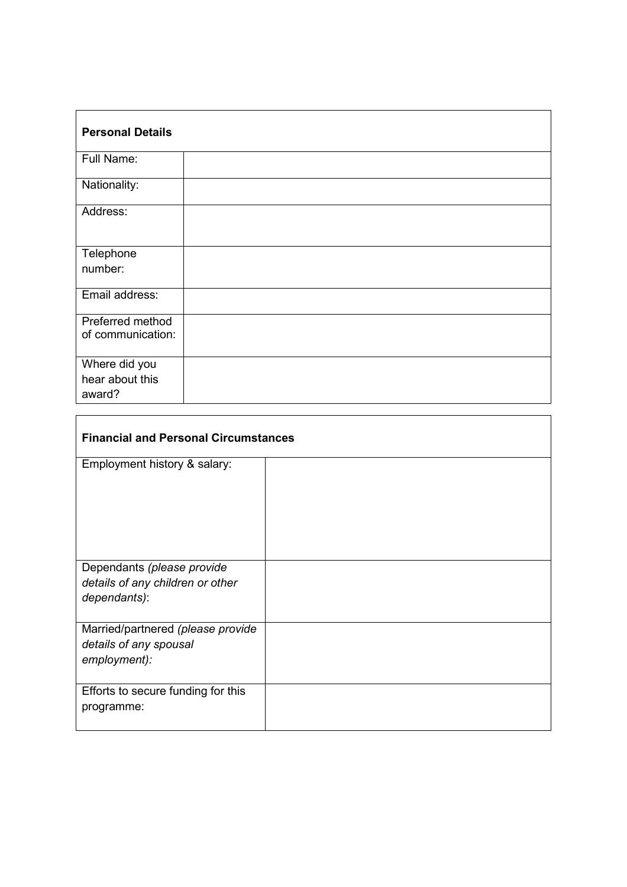| <b>Personal Details</b> |  |  |
|-------------------------|--|--|
| Full Name:              |  |  |
| Nationality:            |  |  |
| Address:                |  |  |
| Telephone               |  |  |
| number:                 |  |  |
| Email address:          |  |  |
| Preferred method        |  |  |
| of communication:       |  |  |
| Where did you           |  |  |
| hear about this         |  |  |
| award?                  |  |  |

| <b>Financial and Personal Circumstances</b>                                    |  |  |
|--------------------------------------------------------------------------------|--|--|
| Employment history & salary:                                                   |  |  |
| Dependants (please provide<br>details of any children or other<br>dependants): |  |  |
| Married/partnered (please provide<br>details of any spousal<br>employment):    |  |  |
| Efforts to secure funding for this<br>programme:                               |  |  |